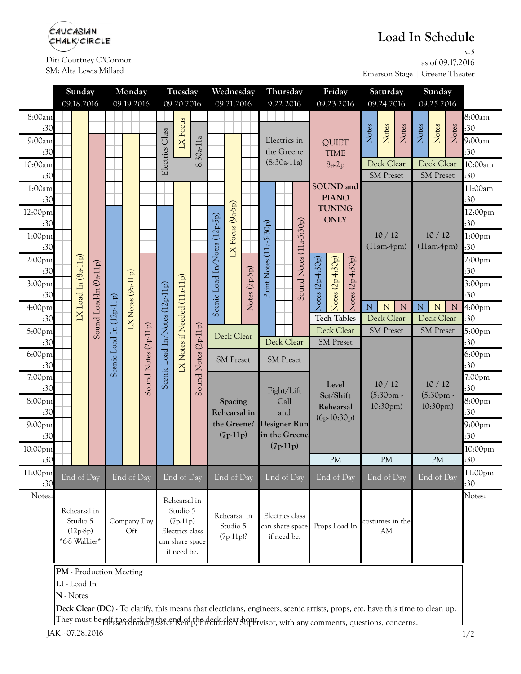

Dir: Courtney O'Connor SM: Alta Lewis Millard

## **Load In Schedule**

v.3 as of 09.17.2016 Emerson Stage | Greene Theater

|                           | Sunday                  |                                                         |                        | Monday                   |                      | Tuesday             |                                |                                | Wednesday            |                                                      |                                                              | Thursday      |                                              |                 |               | Friday                                  |                               | Saturday                                      |                                                                                                                               |                          | Sunday |                |                  |             |                |
|---------------------------|-------------------------|---------------------------------------------------------|------------------------|--------------------------|----------------------|---------------------|--------------------------------|--------------------------------|----------------------|------------------------------------------------------|--------------------------------------------------------------|---------------|----------------------------------------------|-----------------|---------------|-----------------------------------------|-------------------------------|-----------------------------------------------|-------------------------------------------------------------------------------------------------------------------------------|--------------------------|--------|----------------|------------------|-------------|----------------|
|                           |                         | 09.18.2016                                              |                        | 09.19.2016               |                      |                     | 09.20.2016                     |                                |                      | 09.21.2016                                           |                                                              |               |                                              | 9.22.2016       |               |                                         | 09.23.2016                    |                                               |                                                                                                                               | 09.24.2016               |        | 09.25.2016     |                  |             |                |
| 8:00am                    |                         |                                                         |                        |                          |                      |                     |                                |                                |                      |                                                      |                                                              |               |                                              |                 |               |                                         |                               |                                               |                                                                                                                               |                          |        |                |                  |             | 8:00am         |
| :30<br>9:00am             |                         |                                                         |                        |                          |                      |                     | Class                          | LX Focus                       |                      |                                                      |                                                              |               | Electrics in                                 |                 |               |                                         |                               |                                               | Notes                                                                                                                         | Notes                    | Notes  | Notes          | Notes            | Notes       | :30<br>9:00am  |
| :30                       |                         |                                                         |                        |                          |                      |                     |                                |                                | $8:30a-11a$          |                                                      |                                                              |               | the Greene<br>$(8:30a-11a)$                  |                 |               | <b>QUIET</b><br><b>TIME</b><br>$8a-2p$  |                               |                                               |                                                                                                                               |                          |        |                |                  | :30         |                |
| 10:00am                   |                         |                                                         |                        |                          |                      |                     | Electrics                      |                                |                      |                                                      |                                                              |               |                                              |                 |               |                                         |                               |                                               | Deck Clear                                                                                                                    |                          |        | Deck Clear     |                  | 10:00am     |                |
| :30                       |                         |                                                         |                        |                          |                      |                     |                                |                                |                      |                                                      |                                                              |               |                                              |                 |               |                                         |                               |                                               |                                                                                                                               | <b>SM Preset</b>         |        |                | <b>SM Preset</b> |             | :30            |
| 11:00am                   |                         |                                                         |                        |                          |                      |                     |                                |                                |                      |                                                      |                                                              |               |                                              |                 |               |                                         | SOUND and                     |                                               |                                                                                                                               |                          |        |                |                  |             | 11:00am        |
| :30                       |                         |                                                         |                        |                          |                      |                     |                                |                                |                      |                                                      | LX Focus $(9a-5p)$                                           |               |                                              |                 |               |                                         | <b>PIANO</b><br><b>TUNING</b> |                                               |                                                                                                                               |                          |        |                |                  | :30         |                |
| 12:00pm                   |                         |                                                         |                        |                          |                      |                     |                                |                                |                      |                                                      |                                                              |               |                                              |                 |               |                                         |                               |                                               |                                                                                                                               |                          |        |                |                  |             | 12:00pm        |
| :30                       |                         |                                                         |                        |                          |                      |                     |                                |                                |                      |                                                      |                                                              |               | $(11a-5:30p)$                                |                 | $(11a-5:30p)$ | <b>ONLY</b><br>$\text{Notes} (2p4:30p)$ |                               |                                               |                                                                                                                               |                          |        |                |                  |             | :30            |
| $1:00$ pm                 |                         |                                                         |                        |                          | $IX$ Notes $(9a11p)$ |                     |                                |                                |                      | Scenic Load In/Notes (12p-5p)                        |                                                              |               |                                              |                 |               |                                         |                               |                                               |                                                                                                                               | 10/12                    |        | 10/12          |                  |             | 1:00pm         |
| :30                       |                         |                                                         |                        |                          |                      |                     |                                |                                |                      |                                                      |                                                              |               |                                              |                 | Sound Notes   |                                         |                               |                                               | $(11am-4pm)$                                                                                                                  |                          |        | $(11am-4pm)$   |                  |             | :30<br>2:00pm  |
| 2:00 <sub>pm</sub><br>:30 |                         |                                                         |                        |                          |                      |                     |                                |                                |                      |                                                      |                                                              |               |                                              |                 |               |                                         |                               |                                               |                                                                                                                               |                          |        |                |                  |             | :30            |
| 3:00pm                    |                         |                                                         |                        |                          |                      |                     |                                |                                |                      |                                                      |                                                              | Notes (2p-5p) | Paint Notes                                  |                 |               |                                         |                               |                                               |                                                                                                                               |                          |        |                |                  |             | 3:00pm         |
| :30                       |                         |                                                         |                        |                          |                      |                     |                                |                                |                      |                                                      |                                                              |               |                                              |                 |               |                                         |                               | $\text{Notes}$ $(2p4:30p)$<br>Notes (2p4:30p) |                                                                                                                               |                          |        |                |                  |             | :30            |
| 4:00pm                    |                         | $IX$ Load In $(8a11p)$                                  |                        |                          |                      |                     |                                |                                |                      |                                                      |                                                              |               |                                              |                 |               |                                         |                               |                                               | $\overline{N}$<br>$\mathbf N$<br>${\bf N}$                                                                                    |                          |        | ${\bf N}$<br>N |                  | $\mathbf N$ | 4:00pm         |
| :30                       |                         |                                                         |                        |                          |                      |                     |                                |                                |                      |                                                      |                                                              |               |                                              |                 |               |                                         | <b>Tech Tables</b>            |                                               | Deck Clear                                                                                                                    |                          |        | Deck Clear     |                  |             | :30            |
| 5:00pm                    |                         |                                                         | Sound Load-In (9a-11p) |                          |                      | Sound Notes (2p11p) |                                | LX Notes if Needed (11a-11p)   | Sound Notes (2p-11p) |                                                      |                                                              | Deck Clear    |                                              |                 |               |                                         | Deck Clear                    |                                               |                                                                                                                               | <b>SM</b> Preset         |        |                | <b>SM</b> Preset |             | 5:00pm         |
| :30                       |                         |                                                         |                        |                          |                      |                     | Scenic Load In/Notes (12p-11p) |                                |                      |                                                      |                                                              |               | Deck Clear                                   |                 |               |                                         | <b>SM</b> Preset              |                                               |                                                                                                                               |                          |        |                |                  |             | :30            |
| 6:00pm                    |                         |                                                         |                        | Scenic Load In (12p-11p) |                      |                     |                                |                                |                      | <b>SM</b> Preset                                     |                                                              |               | <b>SM Preset</b>                             |                 |               |                                         |                               |                                               |                                                                                                                               |                          |        |                |                  | 6:00pm      |                |
| :30<br>7:00pm             |                         |                                                         |                        |                          |                      |                     |                                |                                |                      |                                                      |                                                              |               |                                              |                 |               |                                         |                               |                                               |                                                                                                                               |                          |        |                |                  |             | :30<br>7:00pm  |
| :30                       |                         |                                                         |                        |                          |                      |                     |                                |                                |                      |                                                      |                                                              |               |                                              | Fight/Lift      |               |                                         | Level                         |                                               | 10/12                                                                                                                         |                          | 10/12  |                |                  | :30         |                |
| 8:00pm                    |                         |                                                         |                        |                          |                      |                     |                                |                                |                      | Spacing<br>Rehearsal in<br>the Greene?<br>$(7p-11p)$ |                                                              |               | Call<br>and<br>Designer Run<br>in the Greene |                 |               | Set/Shift                               |                               | $(5:30pm)$ .<br>$10:30 \text{pm}$ )           |                                                                                                                               | $(5:30pm)$ .<br>10:30pm) |        | 8:00pm         |                  |             |                |
| :30                       |                         |                                                         |                        |                          |                      |                     |                                |                                |                      |                                                      |                                                              |               |                                              |                 |               | Rehearsal<br>$(6p-10:30p)$              |                               |                                               |                                                                                                                               |                          |        | :30            |                  |             |                |
| 9:00pm                    |                         |                                                         |                        |                          |                      |                     |                                |                                |                      |                                                      |                                                              |               |                                              |                 |               |                                         |                               |                                               |                                                                                                                               |                          |        |                | 9:00pm           |             |                |
| :30                       |                         |                                                         |                        |                          |                      |                     |                                |                                |                      |                                                      |                                                              |               |                                              |                 |               |                                         |                               |                                               |                                                                                                                               |                          |        |                |                  |             | :30            |
| 10:00pm                   |                         |                                                         |                        |                          |                      |                     |                                |                                |                      |                                                      |                                                              |               | $(7p-11p)$                                   |                 |               | <b>PM</b>                               |                               |                                               |                                                                                                                               |                          |        |                |                  | 10:00pm     |                |
| :30                       |                         |                                                         |                        |                          |                      |                     |                                |                                |                      |                                                      |                                                              |               |                                              |                 |               |                                         |                               | <b>PM</b>                                     |                                                                                                                               | <b>PM</b>                |        |                | :30              |             |                |
| 11:00pm<br>:30            |                         | End of Day                                              |                        |                          | End of Day           |                     |                                | End of Day                     |                      |                                                      | End of Day                                                   |               |                                              | End of Day      |               |                                         | End of Day                    |                                               |                                                                                                                               | End of Day               |        |                | End of Day       |             | 11:00pm<br>:30 |
| Notes:                    |                         |                                                         |                        |                          |                      |                     |                                | Rehearsal in                   |                      |                                                      |                                                              |               |                                              |                 |               |                                         |                               |                                               |                                                                                                                               |                          |        |                |                  | Notes:      |                |
|                           |                         | Rehearsal in<br>Studio 5<br>$(12p-8p)$<br>*6-8 Walkies* |                        |                          |                      |                     |                                | Studio 5                       |                      |                                                      |                                                              |               |                                              | Electrics class |               |                                         |                               |                                               |                                                                                                                               |                          |        |                |                  |             |                |
|                           |                         |                                                         |                        |                          | Company Day<br>Off   |                     | $(7p-11p)$                     |                                |                      |                                                      | Rehearsal in<br>Studio 5                                     |               |                                              | can share space |               |                                         | Props Load In                 |                                               |                                                                                                                               | costumes in the          |        |                |                  |             |                |
|                           |                         |                                                         |                        |                          |                      |                     |                                | Electrics class                |                      |                                                      | $(7p-11p)$ ?                                                 |               |                                              | if need be.     |               |                                         |                               |                                               |                                                                                                                               | AM                       |        |                |                  |             |                |
|                           |                         |                                                         |                        |                          |                      |                     |                                | can share space<br>if need be. |                      |                                                      |                                                              |               |                                              |                 |               |                                         |                               |                                               |                                                                                                                               |                          |        |                |                  |             |                |
|                           | PM - Production Meeting |                                                         |                        |                          |                      |                     |                                |                                |                      |                                                      |                                                              |               |                                              |                 |               |                                         |                               |                                               |                                                                                                                               |                          |        |                |                  |             |                |
|                           |                         |                                                         |                        |                          |                      |                     |                                |                                |                      |                                                      |                                                              |               |                                              |                 |               |                                         |                               |                                               |                                                                                                                               |                          |        |                |                  |             |                |
|                           | LI - Load In            |                                                         |                        |                          |                      |                     |                                |                                |                      |                                                      |                                                              |               |                                              |                 |               |                                         |                               |                                               |                                                                                                                               |                          |        |                |                  |             |                |
|                           | N - Notes               |                                                         |                        |                          |                      |                     |                                |                                |                      |                                                      |                                                              |               |                                              |                 |               |                                         |                               |                                               | Deck Clear (DC) - To clarify, this means that electicians, engineers, scenic artists, props, etc. have this time to clean up. |                          |        |                |                  |             |                |
|                           |                         |                                                         |                        |                          |                      |                     |                                |                                |                      |                                                      | They must be off the deck by the end of the deck clear hour. |               |                                              |                 |               |                                         |                               |                                               |                                                                                                                               |                          |        |                |                  |             |                |

They must be pitt the deck by the end of the deck clear supervisor, with any comments, questions, concerns.